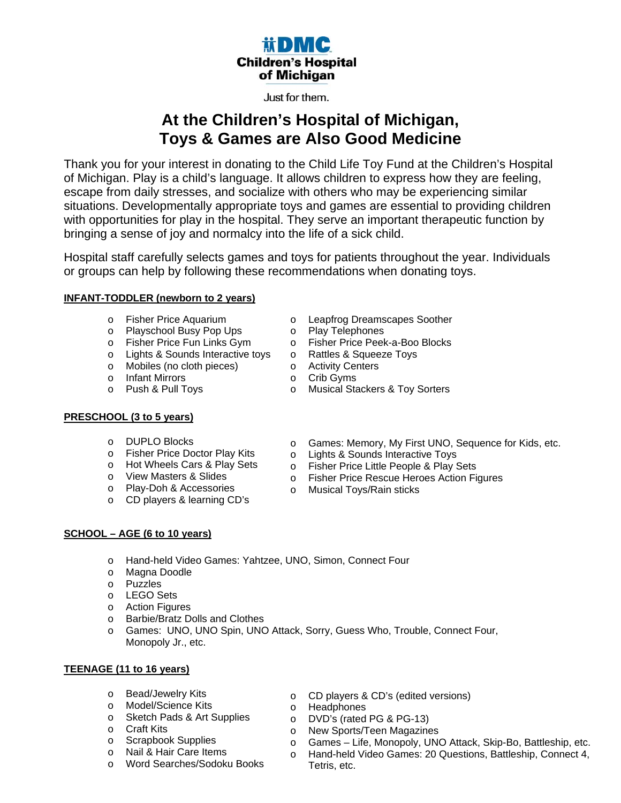## **iiDMC Children's Hospital** of Michigan

### Just for them.

# **At the Children's Hospital of Michigan, Toys & Games are Also Good Medicine**

Thank you for your interest in donating to the Child Life Toy Fund at the Children's Hospital of Michigan. Play is a child's language. It allows children to express how they are feeling, escape from daily stresses, and socialize with others who may be experiencing similar situations. Developmentally appropriate toys and games are essential to providing children with opportunities for play in the hospital. They serve an important therapeutic function by bringing a sense of joy and normalcy into the life of a sick child.

Hospital staff carefully selects games and toys for patients throughout the year. Individuals or groups can help by following these recommendations when donating toys.

### **INFANT-TODDLER (newborn to 2 years)**

- o Fisher Price Aquarium
- o Playschool Busy Pop Ups
- o Fisher Price Fun Links Gym
- o Lights & Sounds Interactive toys
- o Mobiles (no cloth pieces)
- o Infant Mirrors
- o Push & Pull Toys

### **PRESCHOOL (3 to 5 years)**

- o DUPLO Blocks
- o Fisher Price Doctor Play Kits
- o Hot Wheels Cars & Play Sets
- o View Masters & Slides
- o Play-Doh & Accessories
- o CD players & learning CD's
- o Leapfrog Dreamscapes Soother
	- o Play Telephones
	- o Fisher Price Peek-a-Boo Blocks
	- o Rattles & Squeeze Toys
- o Activity Centers
- o Crib Gyms
- o Musical Stackers & Toy Sorters
	- o Games: Memory, My First UNO, Sequence for Kids, etc.
	- o Lights & Sounds Interactive Toys
	- o Fisher Price Little People & Play Sets
- o Fisher Price Rescue Heroes Action Figures
- o Musical Toys/Rain sticks

### **SCHOOL – AGE (6 to 10 years)**

- o Hand-held Video Games: Yahtzee, UNO, Simon, Connect Four
- o Magna Doodle
- o Puzzles
- o LEGO Sets
- o Action Figures
- o Barbie/Bratz Dolls and Clothes
- o Games: UNO, UNO Spin, UNO Attack, Sorry, Guess Who, Trouble, Connect Four, Monopoly Jr., etc.

### **TEENAGE (11 to 16 years)**

- o Bead/Jewelry Kits
- o Model/Science Kits
- o Sketch Pads & Art Supplies
- o Craft Kits
- o Scrapbook Supplies
- o Nail & Hair Care Items
- o Word Searches/Sodoku Books
- o CD players & CD's (edited versions)
- o Headphones
- o DVD's (rated PG & PG-13)
- o New Sports/Teen Magazines
- o Games Life, Monopoly, UNO Attack, Skip-Bo, Battleship, etc.
- o Hand-held Video Games: 20 Questions, Battleship, Connect 4, Tetris, etc.